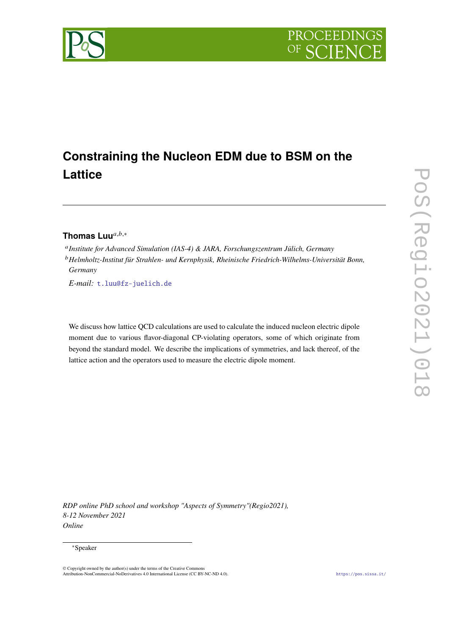

# **Constraining the Nucleon EDM due to BSM on the Lattice**

# Thomas Luu<sup>a,b,∗</sup>

 *Institute for Advanced Simulation (IAS-4) & JARA, Forschungszentrum Jülich, Germany Helmholtz-Institut für Strahlen- und Kernphysik, Rheinische Friedrich-Wilhelms-Universität Bonn, Germany*

*E-mail:* [t.luu@fz-juelich.de](mailto:t.luu@fz-juelich.de)

We discuss how lattice QCD calculations are used to calculate the induced nucleon electric dipole moment due to various flavor-diagonal CP-violating operators, some of which originate from beyond the standard model. We describe the implications of symmetries, and lack thereof, of the lattice action and the operators used to measure the electric dipole moment.

*RDP online PhD school and workshop "Aspects of Symmetry"(Regio2021), 8-12 November 2021 Online*

#### ∗Speaker

<sup>©</sup> Copyright owned by the author(s) under the terms of the Creative Commons Attribution-NonCommercial-NoDerivatives 4.0 International License (CC BY-NC-ND 4.0). <https://pos.sissa.it/>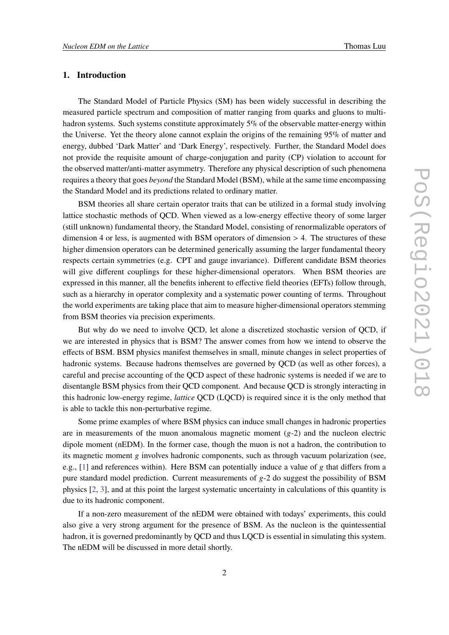# **1. Introduction**

The Standard Model of Particle Physics (SM) has been widely successful in describing the measured particle spectrum and composition of matter ranging from quarks and gluons to multihadron systems. Such systems constitute approximately 5% of the observable matter-energy within the Universe. Yet the theory alone cannot explain the origins of the remaining 95% of matter and energy, dubbed 'Dark Matter' and 'Dark Energy', respectively. Further, the Standard Model does not provide the requisite amount of charge-conjugation and parity (CP) violation to account for the observed matter/anti-matter asymmetry. Therefore any physical description of such phenomena requires a theory that goes *beyond* the Standard Model (BSM), while at the same time encompassing the Standard Model and its predictions related to ordinary matter.

BSM theories all share certain operator traits that can be utilized in a formal study involving lattice stochastic methods of QCD. When viewed as a low-energy effective theory of some larger (still unknown) fundamental theory, the Standard Model, consisting of renormalizable operators of dimension 4 or less, is augmented with BSM operators of dimension  $> 4$ . The structures of these higher dimension operators can be determined generically assuming the larger fundamental theory respects certain symmetries (e.g. CPT and gauge invariance). Different candidate BSM theories will give different couplings for these higher-dimensional operators. When BSM theories are expressed in this manner, all the benefits inherent to effective field theories (EFTs) follow through, such as a hierarchy in operator complexity and a systematic power counting of terms. Throughout the world experiments are taking place that aim to measure higher-dimensional operators stemming from BSM theories via precision experiments.

But why do we need to involve QCD, let alone a discretized stochastic version of QCD, if we are interested in physics that is BSM? The answer comes from how we intend to observe the effects of BSM. BSM physics manifest themselves in small, minute changes in select properties of hadronic systems. Because hadrons themselves are governed by QCD (as well as other forces), a careful and precise accounting of the QCD aspect of these hadronic systems is needed if we are to disentangle BSM physics from their QCD component. And because QCD is strongly interacting in this hadronic low-energy regime, *lattice* QCD (LQCD) is required since it is the only method that is able to tackle this non-perturbative regime.

Some prime examples of where BSM physics can induce small changes in hadronic properties are in measurements of the muon anomalous magnetic moment  $(g-2)$  and the nucleon electric dipole moment (nEDM). In the former case, though the muon is not a hadron, the contribution to its magnetic moment g involves hadronic components, such as through vacuum polarization (see, e.g.,  $[1]$  and references within). Here BSM can potentially induce a value of g that differs from a pure standard model prediction. Current measurements of  $g - 2$  do suggest the possibility of BSM physics [\[2,](#page-11-1) [3\]](#page-11-2), and at this point the largest systematic uncertainty in calculations of this quantity is due to its hadronic component.

If a non-zero measurement of the nEDM were obtained with todays' experiments, this could also give a very strong argument for the presence of BSM. As the nucleon is the quintessential hadron, it is governed predominantly by QCD and thus LQCD is essential in simulating this system. The nEDM will be discussed in more detail shortly.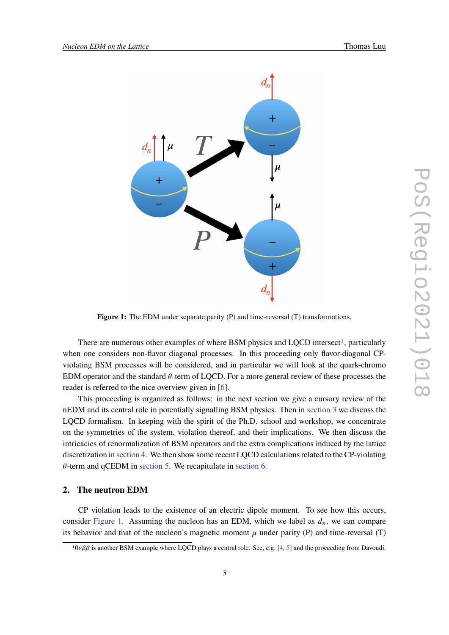<span id="page-2-1"></span>

**Figure 1:** The EDM under separate parity (P) and time-reversal (T) transformations.

There are numerous other examples of where BSM physics and LQCD intersect<sup>[1](#page-2-0)</sup>, particularly when one considers non-flavor diagonal processes. In this proceeding only flavor-diagonal CPviolating BSM processes will be considered, and in particular we will look at the quark-chromo EDM operator and the standard  $\theta$ -term of LOCD. For a more general review of these processes the reader is referred to the nice overview given in [\[6\]](#page-11-3).

This proceeding is organized as follows: in the next section we give a cursory review of the nEDM and its central role in potentially signalling BSM physics. Then in [section 3](#page-3-0) we discuss the LQCD formalism. In keeping with the spirit of the Ph.D. school and workshop, we concentrate on the symmetries of the system, violation thereof, and their implications. We then discuss the intricacies of renormalization of BSM operators and the extra complications induced by the lattice discretization in [section 4.](#page-6-0) We then show some recent LQCD calculations related to the CP-violating  $\theta$ -term and qCEDM in [section 5.](#page-8-0) We recapitulate in [section 6.](#page-10-0)

# **2. The neutron EDM**

CP violation leads to the existence of an electric dipole moment. To see how this occurs, consider [Figure 1.](#page-2-1) Assuming the nucleon has an EDM, which we label as  $d_n$ , we can compare its behavior and that of the nucleon's magnetic moment  $\mu$  under parity (P) and time-reversal (T)

<span id="page-2-0"></span> $10\nu\beta\beta$  is another BSM example where LQCD plays a central role. See, e.g. [\[4,](#page-11-4) [5\]](#page-11-5) and the proceeding from Davoudi.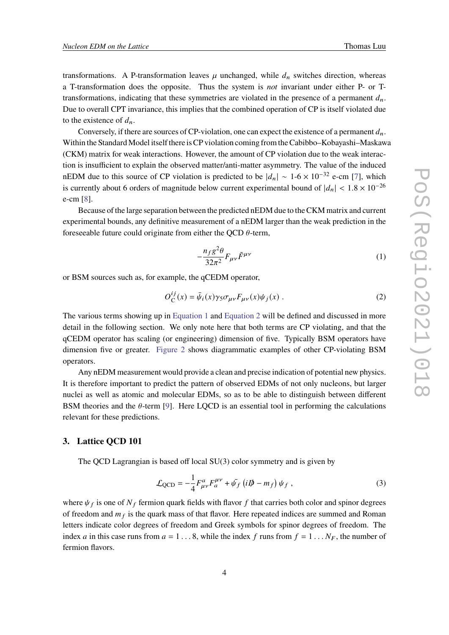transformations. A P-transformation leaves  $\mu$  unchanged, while  $d_n$  switches direction, whereas a T-transformation does the opposite. Thus the system is *not* invariant under either P- or Ttransformations, indicating that these symmetries are violated in the presence of a permanent  $d_n$ . Due to overall CPT invariance, this implies that the combined operation of CP is itself violated due to the existence of  $d_n$ .

Conversely, if there are sources of CP-violation, one can expect the existence of a permanent  $d_n$ . Within the Standard Model itself there is CP violation coming from the Cabibbo–Kobayashi–Maskawa (CKM) matrix for weak interactions. However, the amount of CP violation due to the weak interaction is insufficient to explain the observed matter/anti-matter asymmetry. The value of the induced nEDM due to this source of CP violation is predicted to be  $|d_n| \sim 1$ -6 × 10<sup>-32</sup> e-cm [\[7\]](#page-11-6), which is currently about 6 orders of magnitude below current experimental bound of  $|d_n| < 1.8 \times 10^{-26}$ e-cm [\[8\]](#page-11-7).

Because of the large separation between the predicted nEDM due to the CKM matrix and current experimental bounds, any definitive measurement of a nEDM larger than the weak prediction in the foreseeable future could originate from either the QCD  $\theta$ -term,

<span id="page-3-1"></span>
$$
-\frac{n_f g^2 \theta}{32\pi^2} F_{\mu\nu} \tilde{F}^{\mu\nu} \tag{1}
$$

or BSM sources such as, for example, the qCEDM operator,

<span id="page-3-2"></span>
$$
O_{\mathcal{C}}^{ij}(x) = \bar{\psi}_i(x)\gamma_5 \sigma_{\mu\nu} F_{\mu\nu}(x)\psi_j(x) . \tag{2}
$$

The various terms showing up in [Equation 1](#page-3-1) and [Equation 2](#page-3-2) will be defined and discussed in more detail in the following section. We only note here that both terms are CP violating, and that the qCEDM operator has scaling (or engineering) dimension of five. Typically BSM operators have dimension five or greater. [Figure 2](#page-4-0) shows diagrammatic examples of other CP-violating BSM operators.

Any nEDM measurement would provide a clean and precise indication of potential new physics. It is therefore important to predict the pattern of observed EDMs of not only nucleons, but larger nuclei as well as atomic and molecular EDMs, so as to be able to distinguish between different BSM theories and the  $\theta$ -term [\[9\]](#page-11-8). Here LQCD is an essential tool in performing the calculations relevant for these predictions.

# <span id="page-3-0"></span>**3. Lattice QCD 101**

The QCD Lagrangian is based off local SU(3) color symmetry and is given by

<span id="page-3-3"></span>
$$
\mathcal{L}_{\text{QCD}} = -\frac{1}{4} F^a_{\mu\nu} F_a^{\mu\nu} + \bar{\psi_f} \left( i \vec{p} - m_f \right) \psi_f , \qquad (3)
$$

where  $\psi_f$  is one of  $N_f$  fermion quark fields with flavor f that carries both color and spinor degrees of freedom and  $m_f$  is the quark mass of that flavor. Here repeated indices are summed and Roman letters indicate color degrees of freedom and Greek symbols for spinor degrees of freedom. The index *a* in this case runs from  $a = 1...8$ , while the index f runs from  $f = 1...N_F$ , the number of fermion flavors.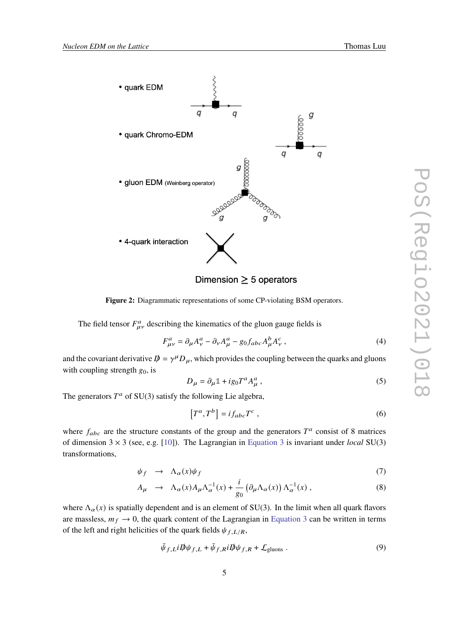

<span id="page-4-0"></span>

Dimension  $\geq$  5 operators

**Figure 2:** Diagrammatic representations of some CP-violating BSM operators.

The field tensor  $F_{\mu\nu}^a$  describing the kinematics of the gluon gauge fields is

$$
F_{\mu\nu}^a = \partial_\mu A_\nu^a - \partial_\nu A_\mu^a - g_0 f_{abc} A_\mu^b A_\nu^c \,, \tag{4}
$$

and the covariant derivative  $\vec{p} = \gamma^{\mu} D_{\mu}$ , which provides the coupling between the quarks and gluons with coupling strength  $g_0$ , is

$$
D_{\mu} = \partial_{\mu} \mathbb{1} + ig_0 T^a A_{\mu}^a \,, \tag{5}
$$

The generators  $T^a$  of SU(3) satisfy the following Lie algebra,

$$
\left[T^a, T^b\right] = i f_{abc} T^c \,,\tag{6}
$$

where  $f_{abc}$  are the structure constants of the group and the generators  $T^a$  consist of 8 matrices of dimension 3 × 3 (see, e.g. [\[10\]](#page-11-9)). The Lagrangian in [Equation 3](#page-3-3) is invariant under *local* SU(3) transformations,

$$
\psi_f \rightarrow \Lambda_\alpha(x)\psi_f \tag{7}
$$

$$
A_{\mu} \rightarrow \Lambda_{\alpha}(x) A_{\mu} \Lambda_{\alpha}^{-1}(x) + \frac{i}{g_0} \left( \partial_{\mu} \Lambda_{\alpha}(x) \right) \Lambda_{\alpha}^{-1}(x) , \qquad (8)
$$

where  $\Lambda_{\alpha}(x)$  is spatially dependent and is an element of SU(3). In the limit when all quark flavors are massless,  $m_f \rightarrow 0$ , the quark content of the Lagrangian in [Equation 3](#page-3-3) can be written in terms of the left and right helicities of the quark fields  $\psi_{f,L/R}$ ,

$$
\bar{\psi}_{f,L} i \not{\!\! D} \psi_{f,L} + \bar{\psi}_{f,R} i \not{\!\! D} \psi_{f,R} + \mathcal{L}_{\text{gluons}} . \tag{9}
$$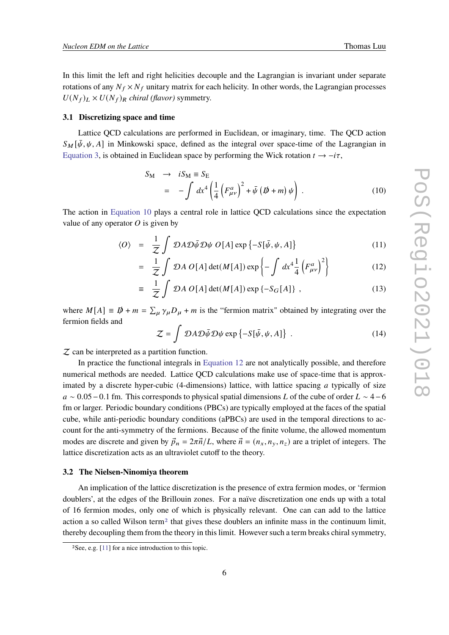In this limit the left and right helicities decouple and the Lagrangian is invariant under separate rotations of any  $N_f \times N_f$  unitary matrix for each helicity. In other words, the Lagrangian processes  $U(N_f)_L \times U(N_f)_R$  *chiral (flavor)* symmetry.

#### **3.1 Discretizing space and time**

Lattice QCD calculations are performed in Euclidean, or imaginary, time. The QCD action  $S_M[\bar{\psi}, \psi, A]$  in Minkowski space, defined as the integral over space-time of the Lagrangian in [Equation 3,](#page-3-3) is obtained in Euclidean space by performing the Wick rotation  $t \to -i\tau$ ,

<span id="page-5-0"></span>
$$
S_{\rm M} \rightarrow iS_{\rm M} \equiv S_{\rm E}
$$
  
= 
$$
-\int dx^4 \left(\frac{1}{4} \left(F_{\mu\nu}^a\right)^2 + \bar{\psi} \left(\rlap{/}b + m\right)\psi\right)
$$
 (10)

The action in [Equation 10](#page-5-0) plays a central role in lattice QCD calculations since the expectation value of any operator  $O$  is given by

<span id="page-5-1"></span>
$$
\langle O \rangle = \frac{1}{Z} \int \mathcal{D}A \mathcal{D} \bar{\psi} \mathcal{D} \psi \ O[A] \exp \{-S[\bar{\psi}, \psi, A]\} \tag{11}
$$

$$
= \frac{1}{Z} \int \mathcal{D}A \, O[A] \det(M[A]) \exp\left\{-\int dx^4 \frac{1}{4} \left(F_{\mu\nu}^a\right)^2\right\} \tag{12}
$$

$$
\equiv \frac{1}{Z} \int \mathcal{D}A \, O[A] \det(M[A]) \exp \{-S_G[A] \} \;, \tag{13}
$$

where  $M[A] \equiv D\!\!\!\!/ + m = \sum_{\mu} \gamma_{\mu} D_{\mu} + m$  is the "fermion matrix" obtained by integrating over the fermion fields and

$$
Z = \int \mathcal{D}A \mathcal{D}\bar{\psi} \mathcal{D}\psi \exp\{-S[\bar{\psi}, \psi, A]\} \tag{14}
$$

 $Z$  can be interpreted as a partition function.

In practice the functional integrals in [Equation 12](#page-5-1) are not analytically possible, and therefore numerical methods are needed. Lattice QCD calculations make use of space-time that is approximated by a discrete hyper-cubic (4-dimensions) lattice, with lattice spacing  $\alpha$  typically of size  $a \sim 0.05-0.1$  fm. This corresponds to physical spatial dimensions L of the cube of order  $L \sim 4-6$ fm or larger. Periodic boundary conditions (PBCs) are typically employed at the faces of the spatial cube, while anti-periodic boundary conditions (aPBCs) are used in the temporal directions to account for the anti-symmetry of the fermions. Because of the finite volume, the allowed momentum modes are discrete and given by  $\vec{p}_n = 2\pi \vec{n}/L$ , where  $\vec{n} = (n_x, n_y, n_z)$  are a triplet of integers. The lattice discretization acts as an ultraviolet cutoff to the theory.

#### **3.2 The Nielsen-Ninomiya theorem**

An implication of the lattice discretization is the presence of extra fermion modes, or 'fermion doublers', at the edges of the Brillouin zones. For a naïve discretization one ends up with a total of 16 fermion modes, only one of which is physically relevant. One can can add to the lattice action a so called Wilson term<sup>[2](#page-5-2)</sup> that gives these doublers an infinite mass in the continuum limit, thereby decoupling them from the theory in this limit. However such a term breaks chiral symmetry,

<span id="page-5-2"></span><sup>2</sup>See, e.g. [\[11\]](#page-11-10) for a nice introduction to this topic.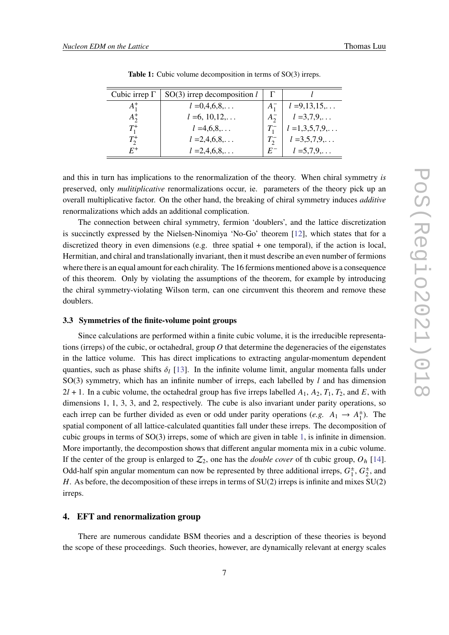<span id="page-6-1"></span>

| Cubic irrep $\Gamma$ | $SO(3)$ irrep decomposition l |             |                  |
|----------------------|-------------------------------|-------------|------------------|
| $A_1^+$              | $l = 0, 4, 6, 8, \ldots$      | $A_{1}^{-}$ | $l = 9,13,15,$   |
| $A_2^+$              | $l = 6, 10, 12, \ldots$       | $A_2^-$     | $l = 3,7,9,$     |
| $T_1^+$              | $l = 4,6,8,$                  |             | $l = 1,3,5,7,9,$ |
| $T^+$                | $l = 2, 4, 6, 8, \ldots$      |             | $l = 3,5,7,9,$   |
|                      | $l = 2, 4, 6, 8, \ldots$      | $E^-$       | $l = 5,7,9,$     |

**Table 1:** Cubic volume decomposition in terms of SO(3) irreps.

and this in turn has implications to the renormalization of the theory. When chiral symmetry *is* preserved, only *mulitiplicative* renormalizations occur, ie. parameters of the theory pick up an overall multiplicative factor. On the other hand, the breaking of chiral symmetry induces *additive* renormalizations which adds an additional complication.

The connection between chiral symmetry, fermion 'doublers', and the lattice discretization is succinctly expressed by the Nielsen-Ninomiya 'No-Go' theorem [\[12\]](#page-12-0), which states that for a discretized theory in even dimensions (e.g. three spatial + one temporal), if the action is local, Hermitian, and chiral and translationally invariant, then it must describe an even number of fermions where there is an equal amount for each chirality. The 16 fermions mentioned above is a consequence of this theorem. Only by violating the assumptions of the theorem, for example by introducing the chiral symmetry-violating Wilson term, can one circumvent this theorem and remove these doublers.

#### **3.3 Symmetries of the finite-volume point groups**

Since calculations are performed within a finite cubic volume, it is the irreducible representations (irreps) of the cubic, or octahedral, group  $O$  that determine the degeneracies of the eigenstates in the lattice volume. This has direct implications to extracting angular-momentum dependent quanties, such as phase shifts  $\delta_l$  [\[13\]](#page-12-1). In the infinite volume limit, angular momenta falls under  $SO(3)$  symmetry, which has an infinite number of irreps, each labelled by  $l$  and has dimension  $2l + 1$ . In a cubic volume, the octahedral group has five irreps labelled  $A_1, A_2, T_1, T_2$ , and E, with dimensions 1, 1, 3, 3, and 2, respectively. The cube is also invariant under parity operations, so each irrep can be further divided as even or odd under parity operations (*e.g.*  $A_1 \rightarrow A_1^{\pm}$ ). The spatial component of all lattice-calculated quantities fall under these irreps. The decomposition of cubic groups in terms of SO(3) irreps, some of which are given in table [1,](#page-6-1) is infinite in dimension. More importantly, the decompostion shows that different angular momenta mix in a cubic volume. If the center of the group is enlarged to  $\mathcal{Z}_2$ , one has the *double cover* of th cubic group,  $O_h$  [\[14\]](#page-12-2). Odd-half spin angular momentum can now be represented by three additional irreps,  $G_1^{\pm}$ ,  $G_2^{\pm}$ , and . As before, the decomposition of these irreps in terms of SU(2) irreps is infinite and mixes SU(2) irreps.

## <span id="page-6-0"></span>**4. EFT and renormalization group**

There are numerous candidate BSM theories and a description of these theories is beyond the scope of these proceedings. Such theories, however, are dynamically relevant at energy scales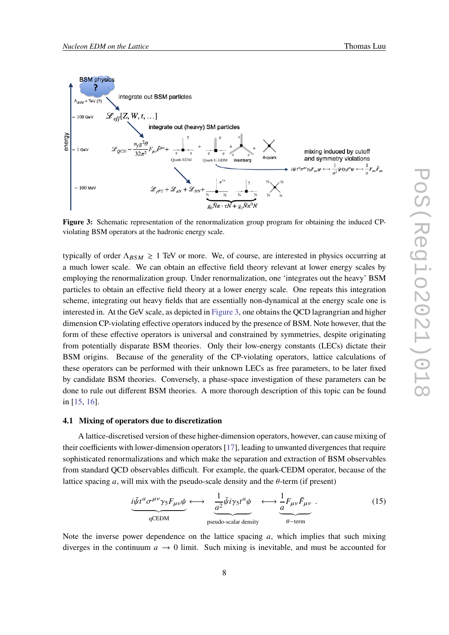<span id="page-7-0"></span>

**Figure 3:** Schematic representation of the renormalization group program for obtaining the induced CPviolating BSM operators at the hadronic energy scale.

typically of order  $\Lambda_{BSM} \gtrsim 1$  TeV or more. We, of course, are interested in physics occurring at a much lower scale. We can obtain an effective field theory relevant at lower energy scales by employing the renormalization group. Under renormalization, one 'integrates out the heavy' BSM particles to obtain an effective field theory at a lower energy scale. One repeats this integration scheme, integrating out heavy fields that are essentially non-dynamical at the energy scale one is interested in. At the GeV scale, as depicted in [Figure 3,](#page-7-0) one obtains the QCD lagrangrian and higher dimension CP-violating effective operators induced by the presence of BSM. Note however, that the form of these effective operators is universal and constrained by symmetries, despite originating from potentially disparate BSM theories. Only their low-energy constants (LECs) dictate their BSM origins. Because of the generality of the CP-violating operators, lattice calculations of these operators can be performed with their unknown LECs as free parameters, to be later fixed by candidate BSM theories. Conversely, a phase-space investigation of these parameters can be done to rule out different BSM theories. A more thorough description of this topic can be found in [\[15,](#page-12-3) [16\]](#page-12-4).

#### **4.1 Mixing of operators due to discretization**

A lattice-discretised version of these higher-dimension operators, however, can cause mixing of their coefficients with lower-dimension operators [\[17\]](#page-12-5), leading to unwanted divergences that require sophisticated renormalizations and which make the separation and extraction of BSM observables from standard QCD observables difficult. For example, the quark-CEDM operator, because of the lattice spacing  $a$ , will mix with the pseudo-scale density and the  $\theta$ -term (if present)

$$
\underbrace{i\bar{\psi}t^a\sigma^{\mu\nu}\gamma_5F_{\mu\nu}\psi}_{qCEDM} \longleftrightarrow \underbrace{\frac{1}{a^2}\bar{\psi}i\gamma_5t^a\psi}_{pseudo-scalar density} \longleftrightarrow \underbrace{\frac{1}{a}F_{\mu\nu}\tilde{F}_{\mu\nu}}_{\theta-\text{term}}.
$$
 (15)

Note the inverse power dependence on the lattice spacing  $a$ , which implies that such mixing diverges in the continuum  $a \rightarrow 0$  limit. Such mixing is inevitable, and must be accounted for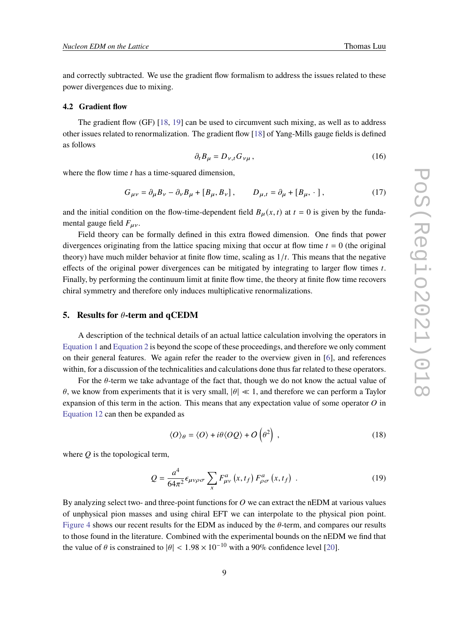and correctly subtracted. We use the gradient flow formalism to address the issues related to these power divergences due to mixing.

#### **4.2 Gradient flow**

The gradient flow (GF) [\[18,](#page-12-6) [19\]](#page-12-7) can be used to circumvent such mixing, as well as to address other issues related to renormalization. The gradient flow [\[18\]](#page-12-6) of Yang-Mills gauge fields is defined as follows

$$
\partial_t B_\mu = D_{\nu,t} G_{\nu\mu},\tag{16}
$$

where the flow time  $t$  has a time-squared dimension,

$$
G_{\mu\nu} = \partial_{\mu}B_{\nu} - \partial_{\nu}B_{\mu} + [B_{\mu}, B_{\nu}], \qquad D_{\mu,t} = \partial_{\mu} + [B_{\mu}, \cdot], \qquad (17)
$$

and the initial condition on the flow-time-dependent field  $B_{\mu}(x, t)$  at  $t = 0$  is given by the fundamental gauge field  $F_{\mu\nu}$ .

Field theory can be formally defined in this extra flowed dimension. One finds that power divergences originating from the lattice spacing mixing that occur at flow time  $t = 0$  (the original theory) have much milder behavior at finite flow time, scaling as  $1/t$ . This means that the negative effects of the original power divergences can be mitigated by integrating to larger flow times  $t$ . Finally, by performing the continuum limit at finite flow time, the theory at finite flow time recovers chiral symmetry and therefore only induces multiplicative renormalizations.

#### <span id="page-8-0"></span>**5.** Results for  $\theta$ -term and  $q$ CEDM

A description of the technical details of an actual lattice calculation involving the operators in [Equation 1](#page-3-1) and [Equation 2](#page-3-2) is beyond the scope of these proceedings, and therefore we only comment on their general features. We again refer the reader to the overview given in [\[6\]](#page-11-3), and references within, for a discussion of the technicalities and calculations done thus far related to these operators.

For the  $\theta$ -term we take advantage of the fact that, though we do not know the actual value of  $\theta$ , we know from experiments that it is very small,  $|\theta| \ll 1$ , and therefore we can perform a Taylor expansion of this term in the action. This means that any expectation value of some operator  $O$  in [Equation 12](#page-5-1) can then be expanded as

$$
\langle O \rangle_{\theta} = \langle O \rangle + i\theta \langle OQ \rangle + O\left(\theta^2\right) , \qquad (18)
$$

where  $Q$  is the topological term,

$$
Q = \frac{a^4}{64\pi^2} \epsilon_{\mu\nu\rho\sigma} \sum_{x} F_{\mu\nu}^a(x, t_f) F_{\rho\sigma}^a(x, t_f) \tag{19}
$$

By analyzing select two- and three-point functions for  $O$  we can extract the nEDM at various values of unphysical pion masses and using chiral EFT we can interpolate to the physical pion point. [Figure 4](#page-9-0) shows our recent results for the EDM as induced by the  $\theta$ -term, and compares our results to those found in the literature. Combined with the experimental bounds on the nEDM we find that the value of  $\theta$  is constrained to  $|\theta| < 1.98 \times 10^{-10}$  with a 90% confidence level [\[20\]](#page-12-8).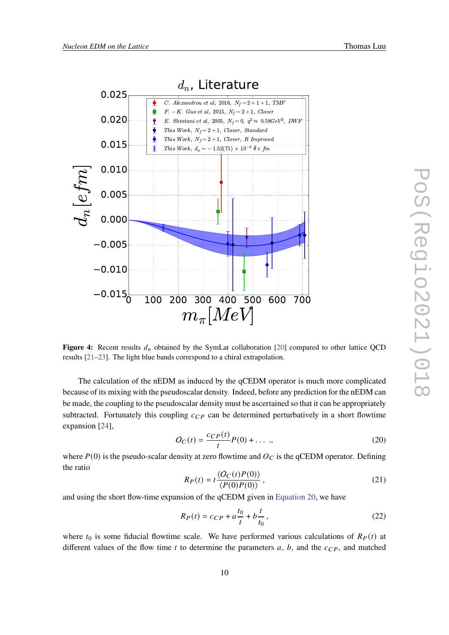<span id="page-9-0"></span>

Figure 4: Recent results  $d_n$  obtained by the SymLat collaboration [\[20\]](#page-12-8) compared to other lattice QCD results [\[21](#page-12-9)[–23\]](#page-12-10). The light blue bands correspond to a chiral extrapolation.

The calculation of the nEDM as induced by the qCEDM operator is much more complicated because of its mixing with the pseudoscalar density. Indeed, before any prediction for the nEDM can be made, the coupling to the pseudoscalar density must be ascertained so that it can be appropriately subtracted. Fortunately this coupling  $c_{CP}$  can be determined perturbatively in a short flowtime expansion [\[24\]](#page-12-11),

<span id="page-9-1"></span>
$$
O_C(t) = \frac{c_{CP}(t)}{t} P(0) + \dots \tag{20}
$$

where  $P(0)$  is the pseudo-scalar density at zero flowtime and  $O<sub>C</sub>$  is the qCEDM operator. Defining the ratio

$$
R_P(t) = t \frac{\langle O_C(t)P(0) \rangle}{\langle P(0)P(0) \rangle},
$$
\n(21)

and using the short flow-time expansion of the qCEDM given in [Equation 20,](#page-9-1) we have

$$
R_P(t) = c_{CP} + a\frac{t_0}{t} + b\frac{t}{t_0},
$$
\n(22)

where  $t_0$  is some fiducial flowtime scale. We have performed various calculations of  $R<sub>P</sub>(t)$  at different values of the flow time  $t$  to determine the parameters  $a, b$ , and the  $c_{CP}$ , and matched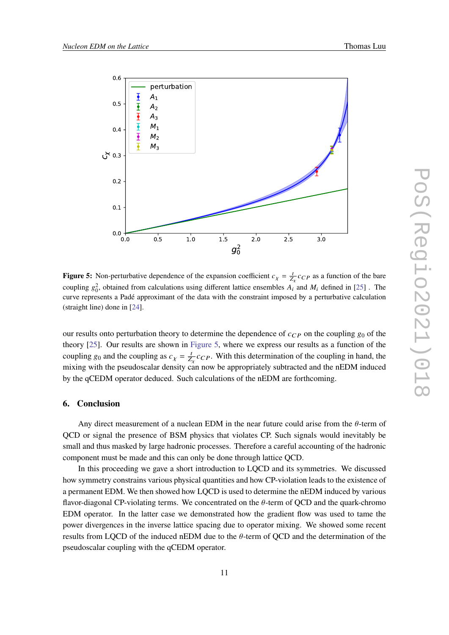<span id="page-10-1"></span>

**Figure 5:** Non-perturbative dependence of the expansion coefficient  $c_{\chi} = \frac{t}{Z_{\chi}} c_{CP}$  as a function of the bare coupling  $g_0^2$ , obtained from calculations using different lattice ensembles  $\hat{A}_i$  and  $M_i$  defined in [\[25\]](#page-12-12). The curve represents a Padé approximant of the data with the constraint imposed by a perturbative calculation (straight line) done in [\[24\]](#page-12-11).

our results onto perturbation theory to determine the dependence of  $c_{CP}$  on the coupling  $g_0$  of the theory [\[25\]](#page-12-12). Our results are shown in [Figure 5,](#page-10-1) where we express our results as a function of the coupling  $g_0$  and the coupling as  $c<sub>x</sub> = \frac{t}{z}$  $\frac{t}{Z_{Y}}c_{CP}$ . With this determination of the coupling in hand, the mixing with the pseudoscalar density can now be appropriately subtracted and the nEDM induced by the qCEDM operator deduced. Such calculations of the nEDM are forthcoming.

#### <span id="page-10-0"></span>**6. Conclusion**

Any direct measurement of a nuclean EDM in the near future could arise from the  $\theta$ -term of QCD or signal the presence of BSM physics that violates CP. Such signals would inevitably be small and thus masked by large hadronic processes. Therefore a careful accounting of the hadronic component must be made and this can only be done through lattice QCD.

In this proceeding we gave a short introduction to LQCD and its symmetries. We discussed how symmetry constrains various physical quantities and how CP-violation leads to the existence of a permanent EDM. We then showed how LQCD is used to determine the nEDM induced by various flavor-diagonal CP-violating terms. We concentrated on the  $\theta$ -term of QCD and the quark-chromo EDM operator. In the latter case we demonstrated how the gradient flow was used to tame the power divergences in the inverse lattice spacing due to operator mixing. We showed some recent results from LQCD of the induced nEDM due to the  $\theta$ -term of QCD and the determination of the pseudoscalar coupling with the qCEDM operator.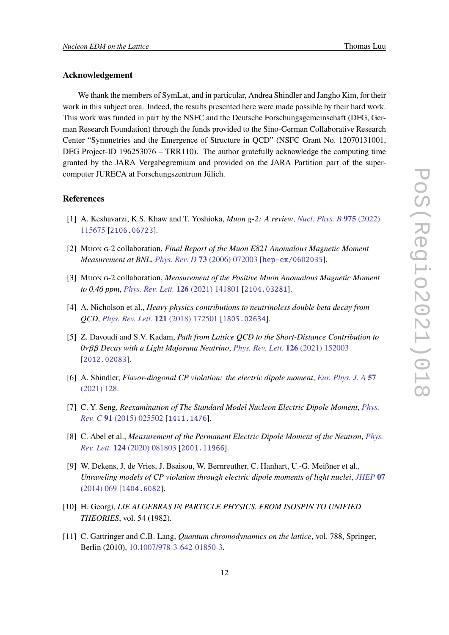## **Acknowledgement**

We thank the members of SymLat, and in particular, Andrea Shindler and Jangho Kim, for their work in this subject area. Indeed, the results presented here were made possible by their hard work. This work was funded in part by the NSFC and the Deutsche Forschungsgemeinschaft (DFG, German Research Foundation) through the funds provided to the Sino-German Collaborative Research Center "Symmetries and the Emergence of Structure in QCD" (NSFC Grant No. 12070131001, DFG Project-ID 196253076 – TRR110). The author gratefully acknowledge the computing time granted by the JARA Vergabegremium and provided on the JARA Partition part of the supercomputer JURECA at Forschungszentrum Jülich.

#### **References**

- <span id="page-11-0"></span>[1] A. Keshavarzi, K.S. Khaw and T. Yoshioka, *Muon g-2: A review*, *[Nucl. Phys. B](https://doi.org/10.1016/j.nuclphysb.2022.115675)* **975** (2022) [115675](https://doi.org/10.1016/j.nuclphysb.2022.115675) [[2106.06723](https://arxiv.org/abs/2106.06723)].
- <span id="page-11-1"></span>[2] Muon g-2 collaboration, *Final Report of the Muon E821 Anomalous Magnetic Moment Measurement at BNL*, *[Phys. Rev. D](https://doi.org/10.1103/PhysRevD.73.072003)* **73** (2006) 072003 [[hep-ex/0602035](https://arxiv.org/abs/hep-ex/0602035)].
- <span id="page-11-2"></span>[3] Muon g-2 collaboration, *Measurement of the Positive Muon Anomalous Magnetic Moment to 0.46 ppm*, *[Phys. Rev. Lett.](https://doi.org/10.1103/PhysRevLett.126.141801)* **126** (2021) 141801 [[2104.03281](https://arxiv.org/abs/2104.03281)].
- <span id="page-11-4"></span>[4] A. Nicholson et al., *Heavy physics contributions to neutrinoless double beta decay from QCD*, *[Phys. Rev. Lett.](https://doi.org/10.1103/PhysRevLett.121.172501)* **121** (2018) 172501 [[1805.02634](https://arxiv.org/abs/1805.02634)].
- <span id="page-11-5"></span>[5] Z. Davoudi and S.V. Kadam, *Path from Lattice QCD to the Short-Distance Contribution to 0 Decay with a Light Majorana Neutrino*, *[Phys. Rev. Lett.](https://doi.org/10.1103/PhysRevLett.126.152003)* **126** (2021) 152003 [[2012.02083](https://arxiv.org/abs/2012.02083)].
- <span id="page-11-3"></span>[6] A. Shindler, *Flavor-diagonal CP violation: the electric dipole moment*, *[Eur. Phys. J. A](https://doi.org/10.1140/epja/s10050-021-00421-y)* **57** [\(2021\) 128.](https://doi.org/10.1140/epja/s10050-021-00421-y)
- <span id="page-11-6"></span>[7] C.-Y. Seng, *Reexamination of The Standard Model Nucleon Electric Dipole Moment*, *[Phys.](https://doi.org/10.1103/PhysRevC.91.025502) Rev. C* **91** [\(2015\) 025502](https://doi.org/10.1103/PhysRevC.91.025502) [[1411.1476](https://arxiv.org/abs/1411.1476)].
- <span id="page-11-7"></span>[8] C. Abel et al., *Measurement of the Permanent Electric Dipole Moment of the Neutron*, *[Phys.](https://doi.org/10.1103/PhysRevLett.124.081803) Rev. Lett.* **124** [\(2020\) 081803](https://doi.org/10.1103/PhysRevLett.124.081803) [[2001.11966](https://arxiv.org/abs/2001.11966)].
- <span id="page-11-8"></span>[9] W. Dekens, J. de Vries, J. Bsaisou, W. Bernreuther, C. Hanhart, U.-G. Meißner et al., *Unraveling models of CP violation through electric dipole moments of light nuclei*, *[JHEP](https://doi.org/10.1007/JHEP07(2014)069)* **07** [\(2014\) 069](https://doi.org/10.1007/JHEP07(2014)069) [[1404.6082](https://arxiv.org/abs/1404.6082)].
- <span id="page-11-9"></span>[10] H. Georgi, *LIE ALGEBRAS IN PARTICLE PHYSICS. FROM ISOSPIN TO UNIFIED THEORIES*, vol. 54 (1982).
- <span id="page-11-10"></span>[11] C. Gattringer and C.B. Lang, *Quantum chromodynamics on the lattice*, vol. 788, Springer, Berlin (2010), [10.1007/978-3-642-01850-3.](https://doi.org/10.1007/978-3-642-01850-3)